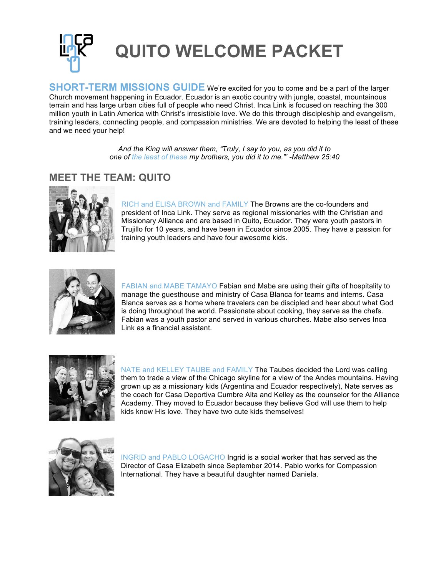

**SHORT-TERM MISSIONS GUIDE** We're excited for you to come and be a part of the larger Church movement happening in Ecuador. Ecuador is an exotic country with jungle, coastal, mountainous terrain and has large urban cities full of people who need Christ. Inca Link is focused on reaching the 300 million youth in Latin America with Christ's irresistible love. We do this through discipleship and evangelism, training leaders, connecting people, and compassion ministries. We are devoted to helping the least of these and we need your help!

> *And the King will answer them, "Truly, I say to you, as you did it to one of the least of these my brothers, you did it to me."' -Matthew 25:40*

# **MEET THE TEAM: QUITO**



RICH and ELISA BROWN and FAMILY The Browns are the co-founders and president of Inca Link. They serve as regional missionaries with the Christian and Missionary Alliance and are based in Quito, Ecuador. They were youth pastors in Trujillo for 10 years, and have been in Ecuador since 2005. They have a passion for training youth leaders and have four awesome kids.



FABIAN and MABE TAMAYO Fabian and Mabe are using their gifts of hospitality to manage the guesthouse and ministry of Casa Blanca for teams and interns. Casa Blanca serves as a home where travelers can be discipled and hear about what God is doing throughout the world. Passionate about cooking, they serve as the chefs. Fabian was a youth pastor and served in various churches. Mabe also serves Inca Link as a financial assistant.



NATE and KELLEY TAUBE and FAMILY The Taubes decided the Lord was calling them to trade a view of the Chicago skyline for a view of the Andes mountains. Having grown up as a missionary kids (Argentina and Ecuador respectively), Nate serves as the coach for Casa Deportiva Cumbre Alta and Kelley as the counselor for the Alliance Academy. They moved to Ecuador because they believe God will use them to help kids know His love. They have two cute kids themselves!



INGRID and PABLO LOGACHO Ingrid is a social worker that has served as the Director of Casa Elizabeth since September 2014. Pablo works for Compassion International. They have a beautiful daughter named Daniela.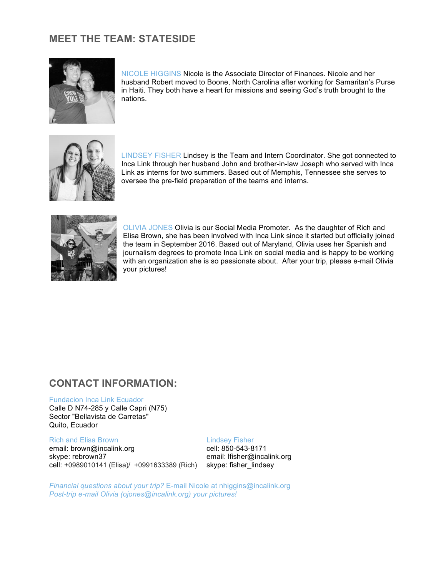# **MEET THE TEAM: STATESIDE**



NICOLE HIGGINS Nicole is the Associate Director of Finances. Nicole and her husband Robert moved to Boone, North Carolina after working for Samaritan's Purse in Haiti. They both have a heart for missions and seeing God's truth brought to the nations.



LINDSEY FISHER Lindsey is the Team and Intern Coordinator. She got connected to Inca Link through her husband John and brother-in-law Joseph who served with Inca Link as interns for two summers. Based out of Memphis, Tennessee she serves to oversee the pre-field preparation of the teams and interns.



OLIVIA JONES Olivia is our Social Media Promoter. As the daughter of Rich and Elisa Brown, she has been involved with Inca Link since it started but officially joined the team in September 2016. Based out of Maryland, Olivia uses her Spanish and journalism degrees to promote Inca Link on social media and is happy to be working with an organization she is so passionate about. After your trip, please e-mail Olivia your pictures!

## **CONTACT INFORMATION:**

#### Fundacion Inca Link Ecuador

Calle D N74-285 y Calle Capri (N75) Sector "Bellavista de Carretas" Quito, Ecuador

#### Rich and Elisa Brown Lindsey Fisher

email: brown@incalink.org email: 850-543-8171 skype: rebrown37 email: lfisher@incalink.org cell: +0989010141 (Elisa)/ +0991633389 (Rich) skype: fisher\_lindsey

*Financial questions about your trip?* E-mail Nicole at nhiggins@incalink.org *Post-trip e-mail Olivia (ojones@incalink.org) your pictures!*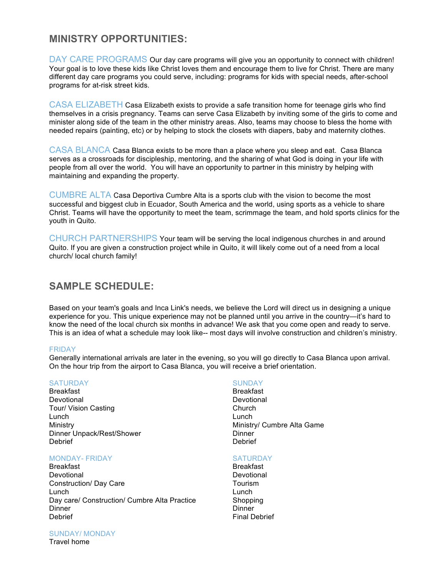# **MINISTRY OPPORTUNITIES:**

DAY CARE PROGRAMS Our day care programs will give you an opportunity to connect with children! Your goal is to love these kids like Christ loves them and encourage them to live for Christ. There are many different day care programs you could serve, including: programs for kids with special needs, after-school programs for at-risk street kids.

CASA ELIZABETH Casa Elizabeth exists to provide a safe transition home for teenage girls who find themselves in a crisis pregnancy. Teams can serve Casa Elizabeth by inviting some of the girls to come and minister along side of the team in the other ministry areas. Also, teams may choose to bless the home with needed repairs (painting, etc) or by helping to stock the closets with diapers, baby and maternity clothes.

CASA BLANCA Casa Blanca exists to be more than a place where you sleep and eat. Casa Blanca serves as a crossroads for discipleship, mentoring, and the sharing of what God is doing in your life with people from all over the world. You will have an opportunity to partner in this ministry by helping with maintaining and expanding the property.

CUMBRE ALTA Casa Deportiva Cumbre Alta is a sports club with the vision to become the most successful and biggest club in Ecuador, South America and the world, using sports as a vehicle to share Christ. Teams will have the opportunity to meet the team, scrimmage the team, and hold sports clinics for the youth in Quito.

CHURCH PARTNERSHIPS Your team will be serving the local indigenous churches in and around Quito. If you are given a construction project while in Quito, it will likely come out of a need from a local church/ local church family!

# **SAMPLE SCHEDULE:**

Based on your team's goals and Inca Link's needs, we believe the Lord will direct us in designing a unique experience for you. This unique experience may not be planned until you arrive in the country—it's hard to know the need of the local church six months in advance! We ask that you come open and ready to serve. This is an idea of what a schedule may look like-- most days will involve construction and children's ministry.

#### FRIDAY

Generally international arrivals are later in the evening, so you will go directly to Casa Blanca upon arrival. On the hour trip from the airport to Casa Blanca, you will receive a brief orientation.

#### SATURDAY SUNDAY

Breakfast Breakfast Devotional Devotional Devotional Devotional Devotional Devotional Devotional Devotional Devotional Devotional Devotional Devotional Devotional Devotional Devotional Devotional Devotional Devotional Devotional Devotional De Tour/ Vision Casting Lunch Lunch Dinner Unpack/Rest/Shower **Dinner** Dinner Debrief Debrief

### MONDAY- FRIDAY SATURDAY

Breakfast Breakfast Devotional Devotional Construction/ Day Care Tourism Lunch Lunch Day care/ Construction/ Cumbre Alta Practice Shopping<br>Dinner Shopping Dinner Dinner Debrief **Final Debrief Final Debrief** 

Ministry Ministry/ Cumbre Alta Game

## SUNDAY/ MONDAY

Travel home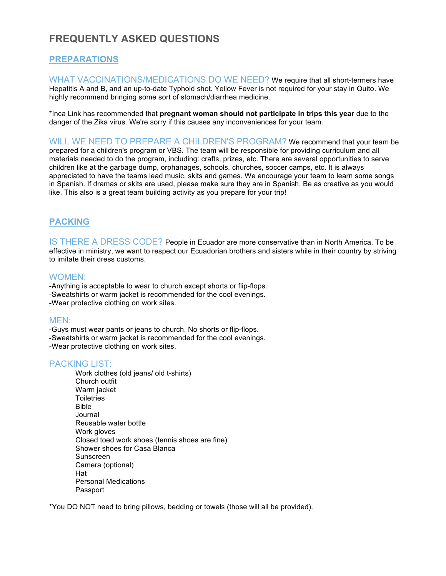# **FREQUENTLY ASKED QUESTIONS**

# **PREPARATIONS**

WHAT VACCINATIONS/MEDICATIONS DO WE NEED? We require that all short-termers have Hepatitis A and B, and an up-to-date Typhoid shot. Yellow Fever is not required for your stay in Quito. We highly recommend bringing some sort of stomach/diarrhea medicine.

\*Inca Link has recommended that **pregnant woman should not participate in trips this year** due to the danger of the Zika virus. We're sorry if this causes any inconveniences for your team.

WILL WE NEED TO PREPARE A CHILDREN'S PROGRAM? We recommend that your team be prepared for a children's program or VBS. The team will be responsible for providing curriculum and all materials needed to do the program, including: crafts, prizes, etc. There are several opportunities to serve children like at the garbage dump, orphanages, schools, churches, soccer camps, etc. It is always appreciated to have the teams lead music, skits and games. We encourage your team to learn some songs in Spanish. If dramas or skits are used, please make sure they are in Spanish. Be as creative as you would like. This also is a great team building activity as you prepare for your trip!

## **PACKING**

IS THERE A DRESS CODE? People in Ecuador are more conservative than in North America. To be effective in ministry, we want to respect our Ecuadorian brothers and sisters while in their country by striving to imitate their dress customs.

## WOMEN:

-Anything is acceptable to wear to church except shorts or flip-flops. -Sweatshirts or warm jacket is recommended for the cool evenings. -Wear protective clothing on work sites.

## MEN:

-Guys must wear pants or jeans to church. No shorts or flip-flops. -Sweatshirts or warm jacket is recommended for the cool evenings. -Wear protective clothing on work sites.

## PACKING LIST:

Work clothes (old jeans/ old t-shirts) Church outfit Warm jacket **Toiletries** Bible Journal Reusable water bottle Work gloves Closed toed work shoes (tennis shoes are fine) Shower shoes for Casa Blanca Sunscreen Camera (optional) Hat Personal Medications Passport

\*You DO NOT need to bring pillows, bedding or towels (those will all be provided).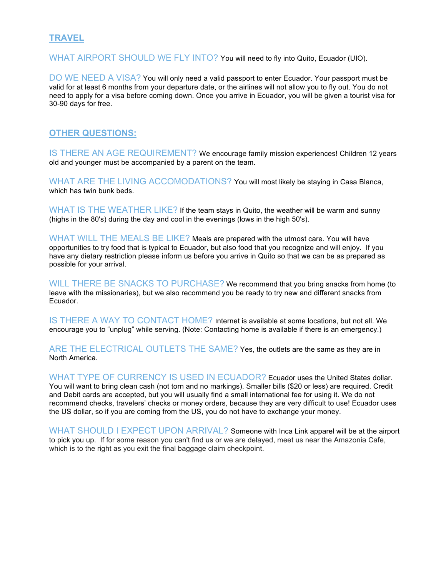## **TRAVEL**

WHAT AIRPORT SHOULD WE FLY INTO? You will need to fly into Quito, Ecuador (UIO).

DO WE NEED A VISA? You will only need a valid passport to enter Ecuador. Your passport must be valid for at least 6 months from your departure date, or the airlines will not allow you to fly out. You do not need to apply for a visa before coming down. Once you arrive in Ecuador, you will be given a tourist visa for 30-90 days for free.

## **OTHER QUESTIONS:**

IS THERE AN AGE REQUIREMENT? We encourage family mission experiences! Children 12 years old and younger must be accompanied by a parent on the team.

WHAT ARE THE LIVING ACCOMODATIONS? You will most likely be staying in Casa Blanca, which has twin bunk beds.

WHAT IS THE WEATHER LIKE? If the team stays in Quito, the weather will be warm and sunny (highs in the 80's) during the day and cool in the evenings (lows in the high 50's).

WHAT WILL THE MEALS BE LIKE? Meals are prepared with the utmost care. You will have opportunities to try food that is typical to Ecuador, but also food that you recognize and will enjoy. If you have any dietary restriction please inform us before you arrive in Quito so that we can be as prepared as possible for your arrival.

WILL THERE BE SNACKS TO PURCHASE? We recommend that you bring snacks from home (to leave with the missionaries), but we also recommend you be ready to try new and different snacks from Ecuador.

IS THERE A WAY TO CONTACT HOME? Internet is available at some locations, but not all. We encourage you to "unplug" while serving. (Note: Contacting home is available if there is an emergency.)

ARE THE ELECTRICAL OUTLETS THE SAME? Yes, the outlets are the same as they are in North America.

WHAT TYPE OF CURRENCY IS USED IN ECUADOR? Ecuador uses the United States dollar. You will want to bring clean cash (not torn and no markings). Smaller bills (\$20 or less) are required. Credit and Debit cards are accepted, but you will usually find a small international fee for using it. We do not recommend checks, travelers' checks or money orders, because they are very difficult to use! Ecuador uses the US dollar, so if you are coming from the US, you do not have to exchange your money.

WHAT SHOULD I EXPECT UPON ARRIVAL? Someone with Inca Link apparel will be at the airport to pick you up. If for some reason you can't find us or we are delayed, meet us near the Amazonia Cafe, which is to the right as you exit the final baggage claim checkpoint.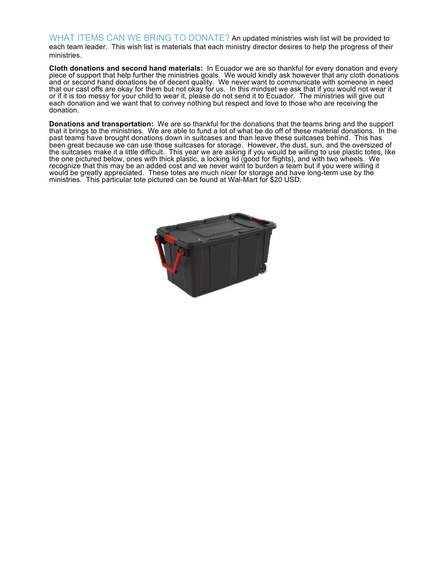WHAT ITEMS CAN WE BRING TO DONATE? An updated ministries wish list will be provided to each team leader. This wish list is materials that each ministry director desires to help the progress of their ministries.

**Cloth donations and second hand materials:** In Ecuador we are so thankful for every donation and every piece of support that help further the ministries goals. We would kindly ask however that any cloth donations and or second hand donations be of decent quality. We never want to communicate with someone in need that our cast offs are okay for them but not okay for us. In this mindset we ask that if you would not wear it or if it is too messy for your child to wear it, please do not send it to Ecuador. The ministries will give out each donation and we want that to convey nothing but respect and love to those who are receiving the donation.

**Donations and transportation:** We are so thankful for the donations that the teams bring and the support that it brings to the ministries. We are able to fund a lot of what be do off of these material donations. In the past teams have brought donations down in suitcases and than leave these suitcases behind. This has been great because we can use those suitcases for storage. However, the dust, sun, and the oversized of the suitcases make it a little difficult. This year we are asking if you would be willing to use plastic totes, like the one pictured below, ones with thick plastic, a locking lid (good for flights), and with two wheels. We recognize that this may be an added cost and we never want to burden a team but if you were willing it would be greatly appreciated. These totes are much nicer for storage and have long-term use by the ministries. This particular tote pictured can be found at Wal-Mart for \$20 USD.